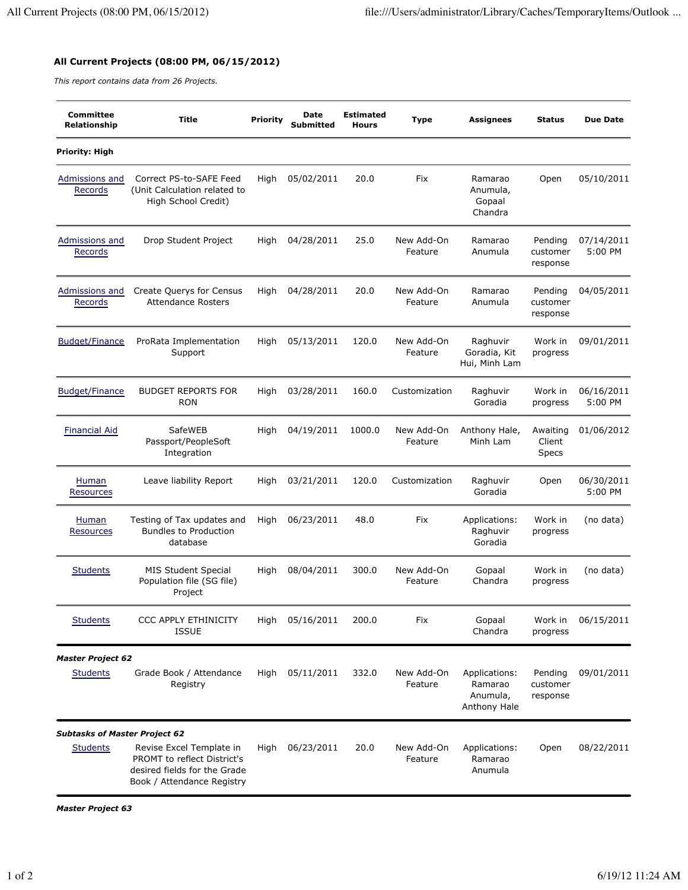## **All Current Projects (08:00 PM, 06/15/2012)**

*This report contains data from 26 Projects.*

| <b>Committee</b><br>Relationship     | <b>Title</b>                                                                                                          | <b>Priority</b> | Date<br>Submitted | <b>Estimated</b><br><b>Hours</b> | <b>Type</b>           | <b>Assignees</b>                                     | <b>Status</b>                      | <b>Due Date</b>       |
|--------------------------------------|-----------------------------------------------------------------------------------------------------------------------|-----------------|-------------------|----------------------------------|-----------------------|------------------------------------------------------|------------------------------------|-----------------------|
| Priority: High                       |                                                                                                                       |                 |                   |                                  |                       |                                                      |                                    |                       |
| Admissions and<br>Records            | Correct PS-to-SAFE Feed<br>(Unit Calculation related to<br>High School Credit)                                        | High            | 05/02/2011        | 20.0                             | Fix                   | Ramarao<br>Anumula,<br>Gopaal<br>Chandra             | Open                               | 05/10/2011            |
| Admissions and<br>Records            | Drop Student Project                                                                                                  | High            | 04/28/2011        | 25.0                             | New Add-On<br>Feature | Ramarao<br>Anumula                                   | Pending<br>customer<br>response    | 07/14/2011<br>5:00 PM |
| Admissions and<br>Records            | Create Querys for Census<br><b>Attendance Rosters</b>                                                                 | High            | 04/28/2011        | 20.0                             | New Add-On<br>Feature | Ramarao<br>Anumula                                   | Pending<br>customer<br>response    | 04/05/2011            |
| <b>Budget/Finance</b>                | ProRata Implementation<br>Support                                                                                     | High            | 05/13/2011        | 120.0                            | New Add-On<br>Feature | Raghuvir<br>Goradia, Kit<br>Hui, Minh Lam            | Work in<br>progress                | 09/01/2011            |
| <b>Budget/Finance</b>                | <b>BUDGET REPORTS FOR</b><br><b>RON</b>                                                                               | High            | 03/28/2011        | 160.0                            | Customization         | Raghuvir<br>Goradia                                  | Work in<br>progress                | 06/16/2011<br>5:00 PM |
| <b>Financial Aid</b>                 | SafeWEB<br>Passport/PeopleSoft<br>Integration                                                                         | High            | 04/19/2011        | 1000.0                           | New Add-On<br>Feature | Anthony Hale,<br>Minh Lam                            | Awaiting<br>Client<br><b>Specs</b> | 01/06/2012            |
| Human<br>Resources                   | Leave liability Report                                                                                                | High            | 03/21/2011        | 120.0                            | Customization         | Raghuvir<br>Goradia                                  | Open                               | 06/30/2011<br>5:00 PM |
| Human<br><b>Resources</b>            | Testing of Tax updates and<br><b>Bundles to Production</b><br>database                                                | High            | 06/23/2011        | 48.0                             | Fix                   | Applications:<br>Raghuvir<br>Goradia                 | Work in<br>progress                | (no data)             |
| <b>Students</b>                      | <b>MIS Student Special</b><br>Population file (SG file)<br>Project                                                    | High            | 08/04/2011        | 300.0                            | New Add-On<br>Feature | Gopaal<br>Chandra                                    | Work in<br>progress                | (no data)             |
| <b>Students</b>                      | <b>CCC APPLY ETHINICITY</b><br><b>ISSUE</b>                                                                           | High            | 05/16/2011        | 200.0                            | Fix                   | Gopaal<br>Chandra                                    | Work in<br>progress                | 06/15/2011            |
| <b>Master Project 62</b>             |                                                                                                                       |                 |                   |                                  |                       |                                                      |                                    |                       |
| <b>Students</b>                      | Grade Book / Attendance<br>Registry                                                                                   | High            | 05/11/2011        | 332.0                            | New Add-On<br>Feature | Applications:<br>Ramarao<br>Anumula,<br>Anthony Hale | Pending<br>customer<br>response    | 09/01/2011            |
| <b>Subtasks of Master Project 62</b> |                                                                                                                       |                 |                   |                                  |                       |                                                      |                                    |                       |
| <b>Students</b>                      | Revise Excel Template in<br>PROMT to reflect District's<br>desired fields for the Grade<br>Book / Attendance Registry | High            | 06/23/2011        | 20.0                             | New Add-On<br>Feature | Applications:<br>Ramarao<br>Anumula                  | Open                               | 08/22/2011            |

*Master Project 63*